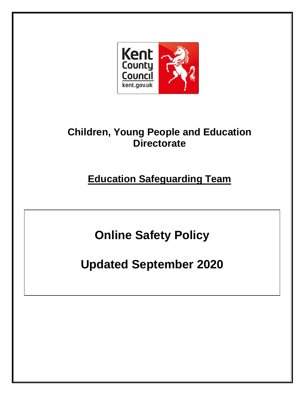

## **Children, Young People and Education Directorate**

**Education Safeguarding Team**

**Online Safety Policy** 

**Updated September 2020**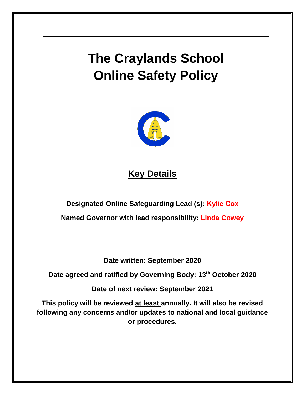# **The Craylands School Online Safety Policy**



## **Key Details**

**Designated Online Safeguarding Lead (s): Kylie Cox**

**Named Governor with lead responsibility: Linda Cowey**

**Date written: September 2020**

**Date agreed and ratified by Governing Body: 13 th October 2020**

**Date of next review: September 2021**

**This policy will be reviewed at least annually. It will also be revised following any concerns and/or updates to national and local guidance or procedures.**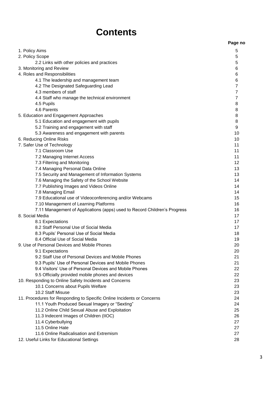## **Contents**

|                                                                                                                    | Page no        |
|--------------------------------------------------------------------------------------------------------------------|----------------|
| 1. Policy Aims                                                                                                     | 5              |
| 2. Policy Scope                                                                                                    | 5              |
| 2.2 Links with other policies and practices                                                                        | 5              |
| 3. Monitoring and Review                                                                                           | 6              |
| 4. Roles and Responsibilities                                                                                      | 6              |
| 4.1 The leadership and management team                                                                             | 6              |
| 4.2 The Designated Safeguarding Lead                                                                               | $\overline{7}$ |
| 4.3 members of staff                                                                                               | $\overline{7}$ |
| 4.4 Staff who manage the technical environment                                                                     | $\overline{7}$ |
| 4.5 Pupils                                                                                                         | 8              |
| 4.6 Parents                                                                                                        | 8              |
| 5. Education and Engagement Approaches                                                                             | 8              |
| 5.1 Education and engagement with pupils                                                                           | 8              |
| 5.2 Training and engagement with staff                                                                             | 9              |
| 5.3 Awareness and engagement with parents                                                                          | 10             |
| 6. Reducing Online Risks                                                                                           | 10             |
| 7. Safer Use of Technology                                                                                         | 11             |
| 7.1 Classroom Use                                                                                                  | 11             |
| 7.2 Managing Internet Access                                                                                       | 11             |
| 7.3 Filtering and Monitoring                                                                                       | 12             |
| 7.4 Managing Personal Data Online                                                                                  | 13             |
| 7.5 Security and Management of Information Systems                                                                 | 13             |
| 7.6 Managing the Safety of the School Website                                                                      | 14             |
| 7.7 Publishing Images and Videos Online                                                                            | 14             |
| 7.8 Managing Email                                                                                                 | 14             |
| 7.9 Educational use of Videoconferencing and/or Webcams                                                            | 15<br>16       |
| 7.10 Management of Learning Platforms<br>7.11 Management of Applications (apps) used to Record Children's Progress | 16             |
| 8. Social Media                                                                                                    | 17             |
| 8.1 Expectations                                                                                                   | 17             |
| 8.2 Staff Personal Use of Social Media                                                                             | 17             |
| 8.3 Pupils' Personal Use of Social Media                                                                           | 18             |
| 8.4 Official Use of Social Media                                                                                   | 19             |
| 9. Use of Personal Devices and Mobile Phones                                                                       | 20             |
| 9.1 Expectations                                                                                                   | 20             |
| 9.2 Staff Use of Personal Devices and Mobile Phones                                                                | 21             |
| 9.3 Pupils' Use of Personal Devices and Mobile Phones                                                              | 21             |
| 9.4 Visitors' Use of Personal Devices and Mobile Phones                                                            | 22             |
| 9.5 Officially provided mobile phones and devices                                                                  | 22             |
| 10. Responding to Online Safety Incidents and Concerns                                                             | 23             |
| 10.1 Concerns about Pupils Welfare                                                                                 | 23             |
| 10.2 Staff Misuse                                                                                                  | 23             |
| 11. Procedures for Responding to Specific Online Incidents or Concerns                                             | 24             |
| 11.1 Youth Produced Sexual Imagery or "Sexting"                                                                    | 24             |
| 11.2 Online Child Sexual Abuse and Exploitation                                                                    | 25             |
| 11.3 Indecent Images of Children (IIOC)                                                                            | 26             |
| 11.4 Cyberbullying                                                                                                 | 27             |
| 11.5 Online Hate                                                                                                   | 27             |
| 11.6 Online Radicalisation and Extremism                                                                           | 27             |
| 12. Useful Links for Educational Settings                                                                          | 28             |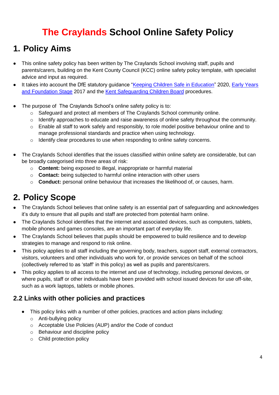## **The Craylands School Online Safety Policy**

## **1. Policy Aims**

- This online safety policy has been written by The Craylands School involving staff, pupils and parents/carers, building on the Kent County Council (KCC) online safety policy template, with specialist advice and input as required.
- It takes into account the DfE statutory quidance ["Keeping Children Safe in Education"](https://www.gov.uk/government/publications/keeping-children-safe-in-education--2) 2020, Early Years [and Foundation Stage](https://www.gov.uk/government/publications/early-years-foundation-stage-framework--2) 2017 and the [Kent Safeguarding Children Board](http://www.kscb.org.uk/) procedures.
- The purpose of The Craylands School's online safety policy is to:
	- $\circ$  Safeguard and protect all members of The Craylands School community online.
	- o Identify approaches to educate and raise awareness of online safety throughout the community.
	- $\circ$  Enable all staff to work safely and responsibly, to role model positive behaviour online and to manage professional standards and practice when using technology.
	- o Identify clear procedures to use when responding to online safety concerns.
- The Craylands School identifies that the issues classified within online safety are considerable, but can be broadly categorised into three areas of risk:
	- o **Content:** being exposed to illegal, inappropriate or harmful material
	- o **Contact:** being subjected to harmful online interaction with other users
	- o **Conduct:** personal online behaviour that increases the likelihood of, or causes, harm.

## **2. Policy Scope**

- The Craylands School believes that online safety is an essential part of safeguarding and acknowledges it's duty to ensure that all pupils and staff are protected from potential harm online.
- The Craylands School identifies that the internet and associated devices, such as computers, tablets, mobile phones and games consoles, are an important part of everyday life.
- The Craylands School believes that pupils should be empowered to build resilience and to develop strategies to manage and respond to risk online.
- This policy applies to all staff including the governing body, teachers, support staff, external contractors, visitors, volunteers and other individuals who work for, or provide services on behalf of the school (collectively referred to as 'staff' in this policy) as well as pupils and parents/carers.
- This policy applies to all access to the internet and use of technology, including personal devices, or where pupils, staff or other individuals have been provided with school issued devices for use off-site, such as a work laptops, tablets or mobile phones.

## **2.2 Links with other policies and practices**

- This policy links with a number of other policies, practices and action plans including:
	- o Anti-bullying policy
	- o Acceptable Use Policies (AUP) and/or the Code of conduct
	- o Behaviour and discipline policy
	- o Child protection policy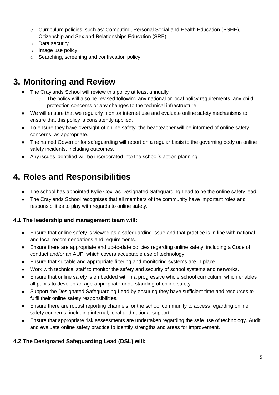- $\circ$  Curriculum policies, such as: Computing, Personal Social and Health Education (PSHE). Citizenship and Sex and Relationships Education (SRE)
- o Data security
- o Image use policy
- o Searching, screening and confiscation policy

## **3. Monitoring and Review**

- The Craylands School will review this policy at least annually
	- o The policy will also be revised following any national or local policy requirements, any child protection concerns or any changes to the technical infrastructure
- We will ensure that we regularly monitor internet use and evaluate online safety mechanisms to ensure that this policy is consistently applied.
- To ensure they have oversight of online safety, the headteacher will be informed of online safety concerns, as appropriate.
- The named Governor for safeguarding will report on a regular basis to the governing body on online safety incidents, including outcomes.
- Any issues identified will be incorporated into the school's action planning.

## **4. Roles and Responsibilities**

- The school has appointed Kylie Cox, as Designated Safeguarding Lead to be the online safety lead.
- The Craylands School recognises that all members of the community have important roles and responsibilities to play with regards to online safety.

#### **4.1 The leadership and management team will:**

- Ensure that online safety is viewed as a safeguarding issue and that practice is in line with national and local recommendations and requirements.
- Ensure there are appropriate and up-to-date policies regarding online safety; including a Code of conduct and/or an AUP, which covers acceptable use of technology.
- Ensure that suitable and appropriate filtering and monitoring systems are in place.
- Work with technical staff to monitor the safety and security of school systems and networks.
- Ensure that online safety is embedded within a progressive whole school curriculum, which enables all pupils to develop an age-appropriate understanding of online safety.
- Support the Designated Safeguarding Lead by ensuring they have sufficient time and resources to fulfil their online safety responsibilities.
- Ensure there are robust reporting channels for the school community to access regarding online safety concerns, including internal, local and national support.
- Ensure that appropriate risk assessments are undertaken regarding the safe use of technology. Audit and evaluate online safety practice to identify strengths and areas for improvement.

### **4.2 The Designated Safeguarding Lead (DSL) will:**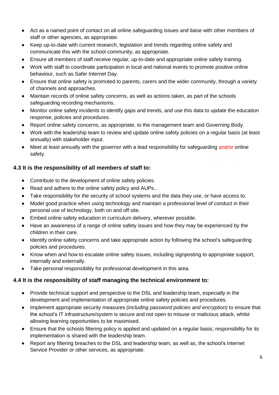- Act as a named point of contact on all online safeguarding issues and liaise with other members of staff or other agencies, as appropriate.
- Keep up-to-date with current research, legislation and trends regarding online safety and communicate this with the school community, as appropriate.
- Ensure all members of staff receive regular, up-to-date and appropriate online safety training.
- Work with staff to coordinate participation in local and national events to promote positive online behaviour, such as Safer Internet Day.
- Ensure that online safety is promoted to parents, carers and the wider community, through a variety of channels and approaches.
- Maintain records of online safety concerns, as well as actions taken, as part of the schools safeguarding recording mechanisms.
- Monitor online safety incidents to identify gaps and trends, and use this data to update the education response, policies and procedures.
- Report online safety concerns, as appropriate, to the management team and Governing Body.
- Work with the leadership team to review and update online safety policies on a regular basis (at least annually) with stakeholder input.
- Meet at least annually with the governor with a lead responsibility for safeguarding and/or online safety.

#### **4.3 It is the responsibility of all members of staff to:**

- Contribute to the development of online safety policies.
- Read and adhere to the online safety policy and AUPs..
- Take responsibility for the security of school systems and the data they use, or have access to.
- Model good practice when using technology and maintain a professional level of conduct in their personal use of technology, both on and off site.
- Embed online safety education in curriculum delivery, wherever possible.
- Have an awareness of a range of online safety issues and how they may be experienced by the children in their care.
- Identify online safety concerns and take appropriate action by following the school's safeguarding policies and procedures.
- Know when and how to escalate online safety issues, including signposting to appropriate support, internally and externally.
- Take personal responsibility for professional development in this area.

#### **4.4 It is the responsibility of staff managing the technical environment to:**

- Provide technical support and perspective to the DSL and leadership team, especially in the development and implementation of appropriate online safety policies and procedures.
- Implement appropriate security measures *(including password policies and encryption)* to ensure that the school's IT infrastructure/system is secure and not open to misuse or malicious attack, whilst allowing learning opportunities to be maximised.
- Ensure that the schools filtering policy is applied and updated on a regular basis; responsibility for its implementation is shared with the leadership team.
- Report any filtering breaches to the DSL and leadership team, as well as, the school's Internet Service Provider or other services, as appropriate.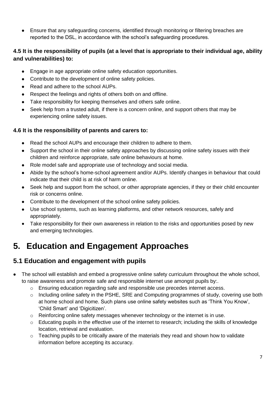Ensure that any safeguarding concerns, identified through monitoring or filtering breaches are reported to the DSL, in accordance with the school's safeguarding procedures.

### **4.5 It is the responsibility of pupils (at a level that is appropriate to their individual age, ability and vulnerabilities) to:**

- Engage in age appropriate online safety education opportunities.
- Contribute to the development of online safety policies.
- Read and adhere to the school AUPs.
- Respect the feelings and rights of others both on and offline.
- Take responsibility for keeping themselves and others safe online.
- Seek help from a trusted adult, if there is a concern online, and support others that may be experiencing online safety issues.

### **4.6 It is the responsibility of parents and carers to:**

- Read the school AUPs and encourage their children to adhere to them.
- Support the school in their online safety approaches by discussing online safety issues with their children and reinforce appropriate, safe online behaviours at home.
- Role model safe and appropriate use of technology and social media.
- Abide by the school's home-school agreement and/or AUPs. Identify changes in behaviour that could indicate that their child is at risk of harm online.
- Seek help and support from the school, or other appropriate agencies, if they or their child encounter risk or concerns online.
- Contribute to the development of the school online safety policies.
- Use school systems, such as learning platforms, and other network resources, safely and appropriately.
- Take responsibility for their own awareness in relation to the risks and opportunities posed by new and emerging technologies.

## **5. Education and Engagement Approaches**

## **5.1 Education and engagement with pupils**

- The school will establish and embed a progressive online safety curriculum throughout the whole school, to raise awareness and promote safe and responsible internet use amongst pupils by:.
	- $\circ$  Ensuring education regarding safe and responsible use precedes internet access.
	- o Including online safety in the PSHE, SRE and Computing programmes of study, covering use both at home school and home. Such plans use online safety websites such as 'Think You Know', 'Child Smart' and 'Digicitizen'.
	- o Reinforcing online safety messages whenever technology or the internet is in use.
	- o Educating pupils in the effective use of the internet to research; including the skills of knowledge location, retrieval and evaluation.
	- o Teaching pupils to be critically aware of the materials they read and shown how to validate information before accepting its accuracy.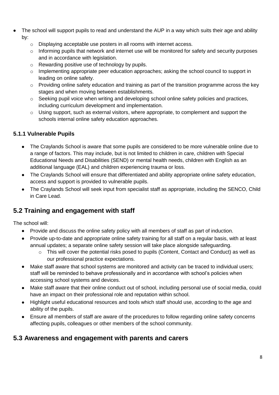- The school will support pupils to read and understand the AUP in a way which suits their age and ability by:
	- o Displaying acceptable use posters in all rooms with internet access.
	- $\circ$  Informing pupils that network and internet use will be monitored for safety and security purposes and in accordance with legislation.
	- o Rewarding positive use of technology by pupils.
	- $\circ$  Implementing appropriate peer education approaches; asking the school council to support in leading on online safety.
	- $\circ$  Providing online safety education and training as part of the transition programme across the key stages and when moving between establishments.
	- o Seeking pupil voice when writing and developing school online safety policies and practices, including curriculum development and implementation.
	- o Using support, such as external visitors, where appropriate, to complement and support the schools internal online safety education approaches.

### **5.1.1 Vulnerable Pupils**

- The Craylands School is aware that some pupils are considered to be more vulnerable online due to a range of factors. This may include, but is not limited to children in care, children with Special Educational Needs and Disabilities (SEND) or mental health needs, children with English as an additional language (EAL) and children experiencing trauma or loss.
- The Craylands School will ensure that differentiated and ability appropriate online safety education, access and support is provided to vulnerable pupils.
- The Craylands School will seek input from specialist staff as appropriate, including the SENCO, Child in Care Lead.

## **5.2 Training and engagement with staff**

The school will:

- Provide and discuss the online safety policy with all members of staff as part of induction.
- Provide up-to-date and appropriate online safety training for all staff on a regular basis, with at least annual updates; a separate online safety session will take place alongside safeguarding.
	- o This will cover the potential risks posed to pupils (Content, Contact and Conduct) as well as our professional practice expectations.
- Make staff aware that school systems are monitored and activity can be traced to individual users; staff will be reminded to behave professionally and in accordance with school's policies when accessing school systems and devices.
- Make staff aware that their online conduct out of school, including personal use of social media, could have an impact on their professional role and reputation within school.
- Highlight useful educational resources and tools which staff should use, according to the age and ability of the pupils.
- Ensure all members of staff are aware of the procedures to follow regarding online safety concerns affecting pupils, colleagues or other members of the school community.

## **5.3 Awareness and engagement with parents and carers**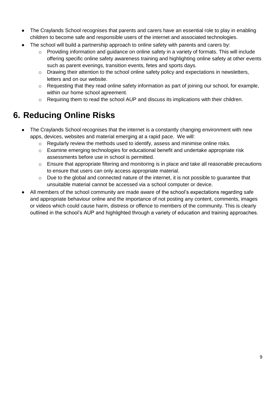- The Craylands School recognises that parents and carers have an essential role to play in enabling children to become safe and responsible users of the internet and associated technologies.
- The school will build a partnership approach to online safety with parents and carers by:
	- o Providing information and guidance on online safety in a variety of formats. This will include offering specific online safety awareness training and highlighting online safety at other events such as parent evenings, transition events, fetes and sports days.
	- o Drawing their attention to the school online safety policy and expectations in newsletters, letters and on our website.
	- $\circ$  Requesting that they read online safety information as part of joining our school, for example, within our home school agreement.
	- o Requiring them to read the school AUP and discuss its implications with their children.

## **6. Reducing Online Risks**

- The Craylands School recognises that the internet is a constantly changing environment with new apps, devices, websites and material emerging at a rapid pace. We will:
	- o Regularly review the methods used to identify, assess and minimise online risks.
	- o Examine emerging technologies for educational benefit and undertake appropriate risk assessments before use in school is permitted.
	- o Ensure that appropriate filtering and monitoring is in place and take all reasonable precautions to ensure that users can only access appropriate material.
	- o Due to the global and connected nature of the internet, it is not possible to guarantee that unsuitable material cannot be accessed via a school computer or device.
- All members of the school community are made aware of the school's expectations regarding safe and appropriate behaviour online and the importance of not posting any content, comments, images or videos which could cause harm, distress or offence to members of the community. This is clearly outlined in the school's AUP and highlighted through a variety of education and training approaches.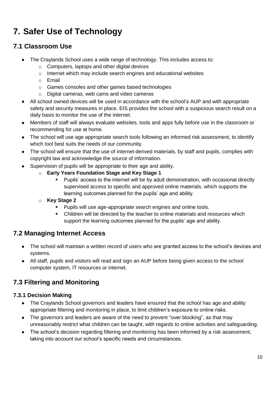## **7. Safer Use of Technology**

## **7.1 Classroom Use**

- The Craylands School uses a wide range of technology. This includes access to:
	- o Computers, laptops and other digital devices
	- o Internet which may include search engines and educational websites
	- o Email
	- o Games consoles and other games based technologies
	- o Digital cameras, web cams and video cameras
- All school owned devices will be used in accordance with the school's AUP and with appropriate safety and security measures in place. EIS provides the school with a suspicious search result on a daily basis to monitor the use of the internet.
- Members of staff will always evaluate websites, tools and apps fully before use in the classroom or recommending for use at home.
- The school will use age appropriate search tools following an informed risk assessment, to identify which tool best suits the needs of our community.
- The school will ensure that the use of internet-derived materials, by staff and pupils, complies with copyright law and acknowledge the source of information.
- Supervision of pupils will be appropriate to their age and ability.
	- o **Early Years Foundation Stage and Key Stage 1**
		- Pupils' access to the internet will be by adult demonstration, with occasional directly supervised access to specific and approved online materials, which supports the learning outcomes planned for the pupils' age and ability.
	- o **Key Stage 2** 
		- **Pupils will use age-appropriate search engines and online tools.**
		- Children will be directed by the teacher to online materials and resources which support the learning outcomes planned for the pupils' age and ability.

## **7.2 Managing Internet Access**

- The school will maintain a written record of users who are granted access to the school's devices and systems.
- All staff, pupils and visitors will read and sign an AUP before being given access to the school computer system, IT resources or internet.

## **7.3 Filtering and Monitoring**

### **7.3.1 Decision Making**

- The Craylands School governors and leaders have ensured that the school has age and ability appropriate filtering and monitoring in place, to limit children's exposure to online risks.
- The governors and leaders are aware of the need to prevent "over blocking", as that may unreasonably restrict what children can be taught, with regards to online activities and safeguarding.
- The school's decision regarding filtering and monitoring has been informed by a risk assessment, taking into account our school's specific needs and circumstances.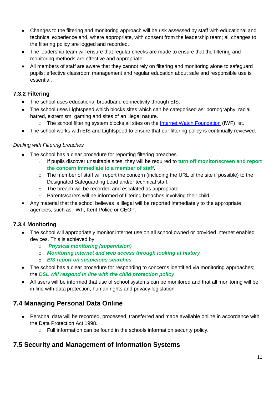- Changes to the filtering and monitoring approach will be risk assessed by staff with educational and technical experience and, where appropriate, with consent from the leadership team; all changes to the filtering policy are logged and recorded.
- The leadership team will ensure that regular checks are made to ensure that the filtering and monitoring methods are effective and appropriate.
- All members of staff are aware that they cannot rely on filtering and monitoring alone to safeguard pupils; effective classroom management and regular education about safe and responsible use is essential.

### **7.3.2 Filtering**

- The school uses educational broadband connectivity through EIS.
- The school uses Lightspeed which blocks sites which can be categorised as: pornography, racial hatred, extremism, gaming and sites of an illegal nature.
	- o The school filtering system blocks all sites on the **Internet Watch Foundation (IWF)** list.
- The school works with EIS and Lightspeed to ensure that our filtering policy is continually reviewed.

#### *Dealing with Filtering breaches*

- The school has a clear procedure for reporting filtering breaches.
	- o If pupils discover unsuitable sites, they will be required to **turn off monitor/screen and report the concern immediate to a member of staff**.
	- $\circ$  The member of staff will report the concern (including the URL of the site if possible) to the Designated Safeguarding Lead and/or technical staff.
	- o The breach will be recorded and escalated as appropriate.
	- o Parents/carers will be informed of filtering breaches involving their child.
- Any material that the school believes is illegal will be reported immediately to the appropriate agencies, such as: IWF, Kent Police or CEOP.

#### **7.3.4 Monitoring**

- The school will appropriately monitor internet use on all school owned or provided internet enabled devices. This is achieved by:
	- o *Physical monitoring (supervision)*
	- o *Monitoring internet and web access through looking at history*
	- o *EIS report on suspicious searches*
- The school has a clear procedure for responding to concerns identified via monitoring approaches: the *DSL will respond in line with the child protection policy*
- All users will be informed that use of school systems can be monitored and that all monitoring will be in line with data protection, human rights and privacy legislation.

## **7.4 Managing Personal Data Online**

- Personal data will be recorded, processed, transferred and made available online in accordance with the Data Protection Act 1998.
	- o Full information can be found in the schools information security policy.

## **7.5 Security and Management of Information Systems**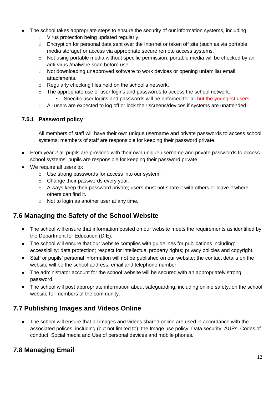- The school takes appropriate steps to ensure the security of our information systems, including:
	- o Virus protection being updated regularly.
	- o Encryption for personal data sent over the Internet or taken off site (such as via portable media storage) or access via appropriate secure remote access systems.
	- $\circ$  Not using portable media without specific permission; portable media will be checked by an anti-virus /malware scan before use.
	- $\circ$  Not downloading unapproved software to work devices or opening unfamiliar email attachments.
	- o Regularly checking files held on the school's network,
	- o The appropriate use of user logins and passwords to access the school network.
		- Specific user logins and passwords will be enforced for all but the youngest users.
	- o All users are expected to log off or lock their screens/devices if systems are unattended.

### **7.5.1 Password policy**

All members of staff will have their own unique username and private passwords to access school systems; members of staff are responsible for keeping their password private.

- From year *2* all pupils are provided with their own unique username and private passwords to access school systems; pupils are responsible for keeping their password private.
- We require all users to:
	- o Use strong passwords for access into our system.
	- o Change their passwords every year.
	- $\circ$  Always keep their password private; users must not share it with others or leave it where others can find it.
	- o Not to login as another user at any time.

## **7.6 Managing the Safety of the School Website**

- The school will ensure that information posted on our website meets the requirements as identified by the Department for Education (DfE).
- The school will ensure that our website complies with guidelines for publications including: accessibility; data protection; respect for intellectual property rights; privacy policies and copyright.
- Staff or pupils' personal information will not be published on our website; the contact details on the website will be the school address, email and telephone number.
- The administrator account for the school website will be secured with an appropriately strong password.
- The school will post appropriate information about safeguarding, including online safety, on the school website for members of the community.

## **7.7 Publishing Images and Videos Online**

 The school will ensure that all images and videos shared online are used in accordance with the associated polices, including (but not limited to): the Image use policy, Data security, AUPs, Codes of conduct, Social media and Use of personal devices and mobile phones.

## **7.8 Managing Email**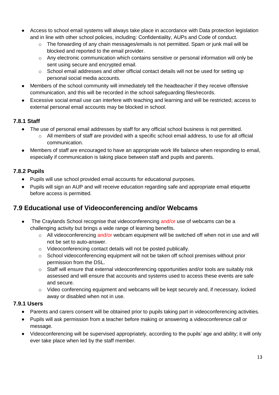- Access to school email systems will always take place in accordance with Data protection legislation and in line with other school policies, including: Confidentiality, AUPs and Code of conduct.
	- o The forwarding of any chain messages/emails is not permitted. Spam or junk mail will be blocked and reported to the email provider.
	- $\circ$  Any electronic communication which contains sensitive or personal information will only be sent using secure and encrypted email.
	- $\circ$  School email addresses and other official contact details will not be used for setting up personal social media accounts.
- Members of the school community will immediately tell the headteacher if they receive offensive communication, and this will be recorded in the school safeguarding files/records.
- Excessive social email use can interfere with teaching and learning and will be restricted; access to external personal email accounts may be blocked in school.

### **7.8.1 Staff**

- The use of personal email addresses by staff for any official school business is not permitted.
	- o All members of staff are provided with a specific school email address, to use for all official communication.
- Members of staff are encouraged to have an appropriate work life balance when responding to email, especially if communication is taking place between staff and pupils and parents.

### **7.8.2 Pupils**

- Pupils will use school provided email accounts for educational purposes.
- Pupils will sign an AUP and will receive education regarding safe and appropriate email etiquette before access is permitted.

## **7.9 Educational use of Videoconferencing and/or Webcams**

- The Craylands School recognise that videoconferencing and/or use of webcams can be a challenging activity but brings a wide range of learning benefits.
	- o All videoconferencing and/or webcam equipment will be switched off when not in use and will not be set to auto-answer.
	- o Videoconferencing contact details will not be posted publically.
	- $\circ$  School videoconferencing equipment will not be taken off school premises without prior permission from the DSL.
	- o Staff will ensure that external videoconferencing opportunities and/or tools are suitably risk assessed and will ensure that accounts and systems used to access these events are safe and secure.
	- o Video conferencing equipment and webcams will be kept securely and, if necessary, locked away or disabled when not in use.

#### **7.9.1 Users**

- Parents and carers consent will be obtained prior to pupils taking part in videoconferencing activities.
- Pupils will ask permission from a teacher before making or answering a videoconference call or message.
- Videoconferencing will be supervised appropriately, according to the pupils' age and ability; it will only ever take place when led by the staff member.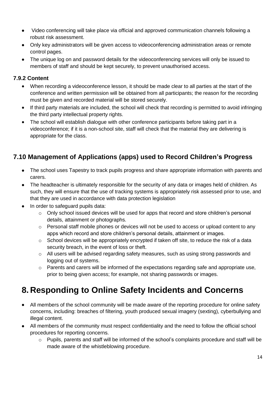- Video conferencing will take place via official and approved communication channels following a robust risk assessment.
- Only key administrators will be given access to videoconferencing administration areas or remote control pages.
- The unique log on and password details for the videoconferencing services will only be issued to members of staff and should be kept securely, to prevent unauthorised access.

### **7.9.2 Content**

- When recording a videoconference lesson, it should be made clear to all parties at the start of the conference and written permission will be obtained from all participants; the reason for the recording must be given and recorded material will be stored securely.
- If third party materials are included, the school will check that recording is permitted to avoid infringing the third party intellectual property rights.
- The school will establish dialogue with other conference participants before taking part in a videoconference; if it is a non-school site, staff will check that the material they are delivering is appropriate for the class.

## **7.10 Management of Applications (apps) used to Record Children's Progress**

- The school uses Tapestry to track pupils progress and share appropriate information with parents and carers.
- The headteacher is ultimately responsible for the security of any data or images held of children. As such, they will ensure that the use of tracking systems is appropriately risk assessed prior to use, and that they are used in accordance with data protection legislation
- In order to safeguard pupils data:
	- $\circ$  Only school issued devices will be used for apps that record and store children's personal details, attainment or photographs.
	- o Personal staff mobile phones or devices will not be used to access or upload content to any apps which record and store children's personal details, attainment or images.
	- o School devices will be appropriately encrypted if taken off site, to reduce the risk of a data security breach, in the event of loss or theft.
	- o All users will be advised regarding safety measures, such as using strong passwords and logging out of systems.
	- o Parents and carers will be informed of the expectations regarding safe and appropriate use, prior to being given access; for example, not sharing passwords or images.

## **8. Responding to Online Safety Incidents and Concerns**

- All members of the school community will be made aware of the reporting procedure for online safety concerns, including: breaches of filtering, youth produced sexual imagery (sexting), cyberbullying and illegal content.
- All members of the community must respect confidentiality and the need to follow the official school procedures for reporting concerns.
	- o Pupils, parents and staff will be informed of the school's complaints procedure and staff will be made aware of the whistleblowing procedure.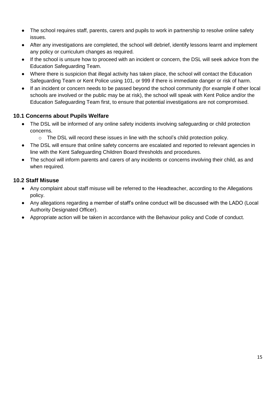- The school requires staff, parents, carers and pupils to work in partnership to resolve online safety issues.
- After any investigations are completed, the school will debrief, identify lessons learnt and implement any policy or curriculum changes as required.
- If the school is unsure how to proceed with an incident or concern, the DSL will seek advice from the Education Safeguarding Team.
- Where there is suspicion that illegal activity has taken place, the school will contact the Education Safeguarding Team or Kent Police using 101, or 999 if there is immediate danger or risk of harm.
- If an incident or concern needs to be passed beyond the school community (for example if other local schools are involved or the public may be at risk), the school will speak with Kent Police and/or the Education Safeguarding Team first, to ensure that potential investigations are not compromised.

#### **10.1 Concerns about Pupils Welfare**

- The DSL will be informed of any online safety incidents involving safeguarding or child protection concerns.
	- $\circ$  The DSL will record these issues in line with the school's child protection policy.
- The DSL will ensure that online safety concerns are escalated and reported to relevant agencies in line with the Kent Safeguarding Children Board thresholds and procedures.
- The school will inform parents and carers of any incidents or concerns involving their child, as and when required.

#### **10.2 Staff Misuse**

- Any complaint about staff misuse will be referred to the Headteacher, according to the Allegations policy.
- Any allegations regarding a member of staff's online conduct will be discussed with the LADO (Local Authority Designated Officer).
- Appropriate action will be taken in accordance with the Behaviour policy and Code of conduct.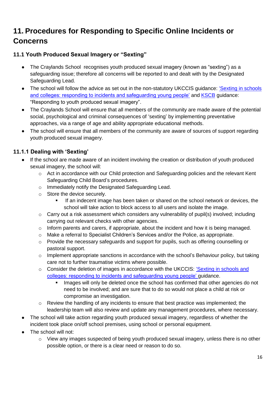## **11. Procedures for Responding to Specific Online Incidents or Concerns**

### **11.1 Youth Produced Sexual Imagery or "Sexting"**

- The Craylands School recognises youth produced sexual imagery (known as "sexting") as a safeguarding issue; therefore all concerns will be reported to and dealt with by the Designated Safeguarding Lead.
- The school will follow the advice as set out in the non-statutory UKCCIS guidance: *'Sexting in schools* [and colleges: responding to incidents and safeguarding young people'](https://www.gov.uk/government/groups/uk-council-for-child-internet-safety-ukccis) and [KSCB](http://www.kscb.org.uk/guidance/online-safety) guidance: "Responding to youth produced sexual imagery".
- The Craylands School will ensure that all members of the community are made aware of the potential social, psychological and criminal consequences of 'sexting' by implementing preventative approaches, via a range of age and ability appropriate educational methods.
- The school will ensure that all members of the community are aware of sources of support regarding youth produced sexual imagery.

### **11.1.1 Dealing with 'Sexting'**

- If the school are made aware of an incident involving the creation or distribution of youth produced sexual imagery, the school will:
	- $\circ$  Act in accordance with our Child protection and Safeguarding policies and the relevant Kent Safeguarding Child Board's procedures.
	- o Immediately notify the Designated Safeguarding Lead.
	- o Store the device securely.
		- If an indecent image has been taken or shared on the school network or devices, the school will take action to block access to all users and isolate the image.
	- $\circ$  Carry out a risk assessment which considers any vulnerability of pupil(s) involved; including carrying out relevant checks with other agencies.
	- o Inform parents and carers, if appropriate, about the incident and how it is being managed.
	- o Make a referral to Specialist Children's Services and/or the Police, as appropriate.
	- o Provide the necessary safeguards and support for pupils, such as offering counselling or pastoral support.
	- $\circ$  Implement appropriate sanctions in accordance with the school's Behaviour policy, but taking care not to further traumatise victims where possible.
	- o Consider the deletion of images in accordance with the UKCCIS: 'Sexting in schools and [colleges: responding to incidents and safeguarding young people'](https://www.gov.uk/government/groups/uk-council-for-child-internet-safety-ukccis) guidance.
		- **IMAGO WHILM** Images will only be deleted once the school has confirmed that other agencies do not need to be involved; and are sure that to do so would not place a child at risk or compromise an investigation.
	- o Review the handling of any incidents to ensure that best practice was implemented; the leadership team will also review and update any management procedures, where necessary.
- The school will take action regarding youth produced sexual imagery, regardless of whether the incident took place on/off school premises, using school or personal equipment.
- The school will not:
	- o View any images suspected of being youth produced sexual imagery, unless there is no other possible option, or there is a clear need or reason to do so.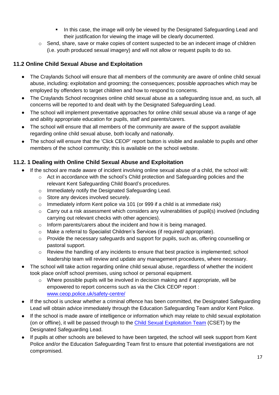- In this case, the image will only be viewed by the Designated Safeguarding Lead and their justification for viewing the image will be clearly documented.
- o Send, share, save or make copies of content suspected to be an indecent image of children (i.e. youth produced sexual imagery) and will not allow or request pupils to do so.

### **11.2 Online Child Sexual Abuse and Exploitation**

- The Craylands School will ensure that all members of the community are aware of online child sexual abuse, including: exploitation and grooming; the consequences; possible approaches which may be employed by offenders to target children and how to respond to concerns.
- The Craylands School recognises online child sexual abuse as a safeguarding issue and, as such, all concerns will be reported to and dealt with by the Designated Safeguarding Lead.
- The school will implement preventative approaches for online child sexual abuse via a range of age and ability appropriate education for pupils, staff and parents/carers.
- The school will ensure that all members of the community are aware of the support available regarding online child sexual abuse, both locally and nationally.
- The school will ensure that the 'Click CEOP' report button is visible and available to pupils and other members of the school community; this is available on the school website.

### **11.2. 1 Dealing with Online Child Sexual Abuse and Exploitation**

- If the school are made aware of incident involving online sexual abuse of a child, the school will:
	- o Act in accordance with the school's Child protection and Safeguarding policies and the relevant Kent Safeguarding Child Board's procedures.
	- o Immediately notify the Designated Safeguarding Lead.
	- o Store any devices involved securely.
	- $\circ$  Immediately inform Kent police via 101 (or 999 if a child is at immediate risk)
	- o Carry out a risk assessment which considers any vulnerabilities of pupil(s) involved (including carrying out relevant checks with other agencies).
	- o Inform parents/carers about the incident and how it is being managed.
	- o Make a referral to Specialist Children's Services (if required/ appropriate).
	- o Provide the necessary safeguards and support for pupils, such as, offering counselling or pastoral support.
	- $\circ$  Review the handling of any incidents to ensure that best practice is implemented; school leadership team will review and update any management procedures, where necessary.
- The school will take action regarding online child sexual abuse, regardless of whether the incident took place on/off school premises, using school or personal equipment.
	- $\circ$  Where possible pupils will be involved in decision making and if appropriate, will be empowered to report concerns such as via the Click CEOP report : [www.ceop.police.uk/safety-centre/](http://www.ceop.police.uk/safety-centre/)
- If the school is unclear whether a criminal offence has been committed, the Designated Safeguarding Lead will obtain advice immediately through the Education Safeguarding Team and/or Kent Police.
- If the school is made aware of intelligence or information which may relate to child sexual exploitation (on or offline), it will be passed through to the [Child Sexual Exploitation Team](https://www.kent.police.uk/childabuse/) (CSET) by the Designated Safeguarding Lead.
- If pupils at other schools are believed to have been targeted, the school will seek support from Kent Police and/or the Education Safeguarding Team first to ensure that potential investigations are not compromised.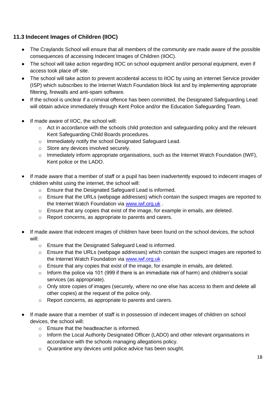### **11.3 Indecent Images of Children (IIOC)**

- The Craylands School will ensure that all members of the community are made aware of the possible consequences of accessing Indecent Images of Children (IIOC).
- The school will take action regarding IIOC on school equipment and/or personal equipment, even if access took place off site.
- The school will take action to prevent accidental access to IIOC by using an internet Service provider (ISP) which subscribes to the Internet Watch Foundation block list and by implementing appropriate filtering, firewalls and anti-spam software.
- If the school is unclear if a criminal offence has been committed, the Designated Safeguarding Lead will obtain advice immediately through Kent Police and/or the Education Safeguarding Team.
- If made aware of IIOC, the school will:
	- o Act in accordance with the schools child protection and safeguarding policy and the relevant Kent Safeguarding Child Boards procedures.
	- o Immediately notify the school Designated Safeguard Lead.
	- o Store any devices involved securely.
	- o Immediately inform appropriate organisations, such as the Internet Watch Foundation (IWF), Kent police or the LADO.
- If made aware that a member of staff or a pupil has been inadvertently exposed to indecent images of children whilst using the internet, the school will:
	- o Ensure that the Designated Safeguard Lead is informed.
	- o Ensure that the URLs (webpage addresses) which contain the suspect images are reported to the Internet Watch Foundation via [www.iwf.org.uk](https://www.iwf.org.uk/) .
	- o Ensure that any copies that exist of the image, for example in emails, are deleted.
	- o Report concerns, as appropriate to parents and carers.
- If made aware that indecent images of children have been found on the school devices, the school will:
	- o Ensure that the Designated Safeguard Lead is informed.
	- o Ensure that the URLs (webpage addresses) which contain the suspect images are reported to the Internet Watch Foundation via [www.iwf.org.uk](https://www.iwf.org.uk/) .
	- $\circ$  Ensure that any copies that exist of the image, for example in emails, are deleted.
	- $\circ$  Inform the police via 101 (999 if there is an immediate risk of harm) and children's social services (as appropriate).
	- $\circ$  Only store copies of images (securely, where no one else has access to them and delete all other copies) at the request of the police only.
	- o Report concerns, as appropriate to parents and carers.
- If made aware that a member of staff is in possession of indecent images of children on school devices, the school will:
	- o Ensure that the headteacher is informed.
	- o Inform the Local Authority Designated Officer (LADO) and other relevant organisations in accordance with the schools managing allegations policy.
	- o Quarantine any devices until police advice has been sought.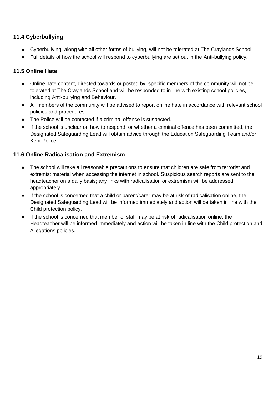### **11.4 Cyberbullying**

- Cyberbullying, along with all other forms of bullying, will not be tolerated at The Craylands School.
- Full details of how the school will respond to cyberbullying are set out in the Anti-bullying policy.

### **11.5 Online Hate**

- Online hate content, directed towards or posted by, specific members of the community will not be tolerated at The Craylands School and will be responded to in line with existing school policies, including Anti-bullying and Behaviour.
- All members of the community will be advised to report online hate in accordance with relevant school policies and procedures.
- The Police will be contacted if a criminal offence is suspected.
- If the school is unclear on how to respond, or whether a criminal offence has been committed, the Designated Safeguarding Lead will obtain advice through the Education Safeguarding Team and/or Kent Police.

#### **11.6 Online Radicalisation and Extremism**

- The school will take all reasonable precautions to ensure that children are safe from terrorist and extremist material when accessing the internet in school. Suspicious search reports are sent to the headteacher on a daily basis; any links with radicalisation or extremism will be addressed appropriately.
- If the school is concerned that a child or parent/carer may be at risk of radicalisation online, the Designated Safeguarding Lead will be informed immediately and action will be taken in line with the Child protection policy.
- If the school is concerned that member of staff may be at risk of radicalisation online, the Headteacher will be informed immediately and action will be taken in line with the Child protection and Allegations policies.